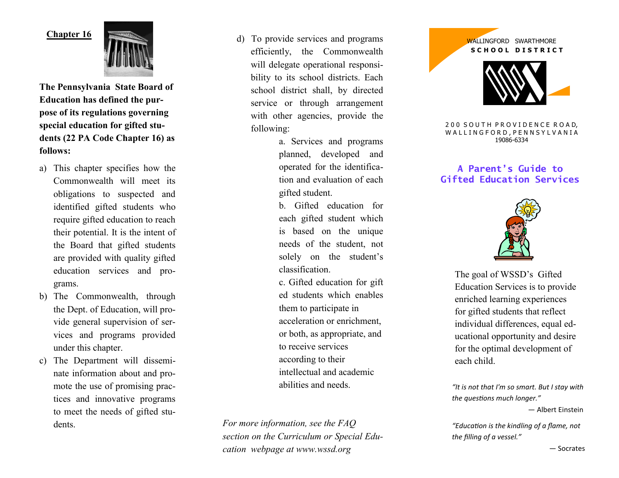## **Chapter 16**



**The Pennsylvania State Board of Education has defined the purpose of its regulations governing special education for gifted students (22 PA Code Chapter 16) as follows:**

- a) This chapter specifies how the Commonwealth will meet its obligations to suspected and identified gifted students who require gifted education to reach their potential. It is the intent of the Board that gifted students are provided with quality gifted education services and programs.
- b) The Commonwealth, through the Dept. of Education, will provide general supervision of services and programs provided under this chapter.
- c) The Department will disseminate information about and promote the use of promising practices and innovative programs to meet the needs of gifted students.

d) To provide services and programs efficiently, the Commonwealth will delegate operational responsibility to its school districts. Each school district shall, by directed service or through arrangement with other agencies, provide the following:

> a. Services and programs planned, developed and operated for the identification and evaluation of each gifted student.

b. Gifted education for each gifted student which is based on the unique needs of the student, not solely on the student's classification.

c. Gifted education for gift ed students which enables them to participate in acceleration or enrichment, or both, as appropriate, and to receive services according to their intellectual and academic abilities and needs.

*For more information, see the FAQ section on the Curriculum or Special Education webpage at www.wssd.org*



#### 200 SOUTH PROVIDENCE ROAD. W A L L I N G F O R D, P E N N S Y L V A N I A 19086-6334

# **A Parent's Guide to Gifted Education Services**



The goal of WSSD's Gifted Education Services is to provide enriched learning experiences for gifted students that reflect individual differences, equal educational opportunity and desire for the optimal development of each child.

*"It is not that I'm so smart. But I stay with the questions much longer."* 

― [Albert Einstein](http://www.goodreads.com/author/show/9810.Albert_Einstein)

*"Education is the kindling of a flame, not the filling of a vessel."*